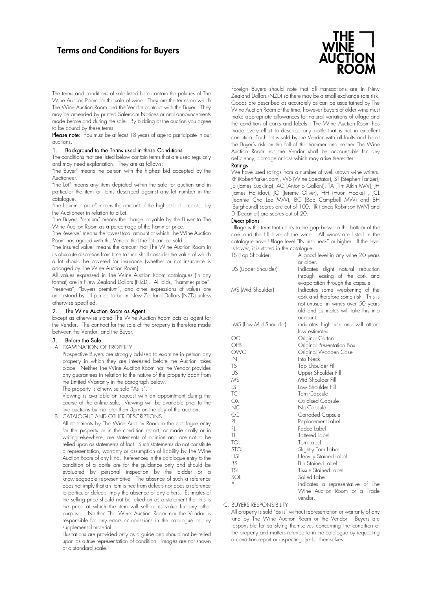# Terms and Conditions for Buyers



The terms and conditions of sale listed here contain the policies of The Wine Auction Room for the sale of wine. They are the terms on which The Wine Auction Room and the Vendor contract with the Buyer. They may be amended by printed Saleroom Notices or oral announcements made before and during the sale. By bidding at the auction you agree to be bound by these terms.

Please note: You must be at least 18 years of age to participate in our auctions.

#### 1. Background to the Terms used in these Conditions

The conditions that are listed below contain terms that are used regularly and may need explanation. They are as follows:

"the Buyer" means the person with the highest bid accepted by the Auctioneer.

"the Lot" means any item depicted within the sale for auction and in particular the item or items described against any lot number in the catalogue.

"the Hammer price" means the amount of the highest bid accepted by the Auctioneer in relation to a Lot.

"the Buyers Premium" means the charge payable by the Buyer to The Wine Auction Room as a percentage of the hammer price.

"the Reserve" means the lowest total amount at which The Wine Auction Room has agreed with the Vendor that the lot can be sold.

"the insured value" means the amount that The Wine Auction Room in its absolute discretion from time to time shall consider the value of which a lot should be covered for insurance (whether or not insurance is arranged by The Wine Auction Room).

All values expressed in The Wine Auction Room catalogues (in any format) are in New Zealand Dollars (NZD). All bids, "hammer price", "reserves", "buyers premium", and other expressions of values are understood by all parties to be in New Zealand Dollars (NZD) unless otherwise specified.

#### 2. The Wine Auction Room as Agent

Except as otherwise stated The Wine Auction Room acts as agent for the Vendor. The contract for the sale of the property is therefore made between the Vendor and the Buyer.

#### 3. Before the Sale

A. EXAMINATION OF PROPERTY

Prospective Buyers are strongly advised to examine in person any property in which they are interested before the Auction takes place. Neither The Wine Auction Room nor the Vendor provides any guarantees in relation to the nature of the property apart from the Limited Warranty in the paragraph below.

The property is otherwise sold "As Is".

Viewing is available on request with an appointment during the course of the online sale. Viewing will be available prior to the live auctions but no later than 3pm on the day of the auction.

B. CATALOGUE AND OTHER DESCRIPTIONS

All statements by The Wine Auction Room in the catalogue entry for the property or in the condition report, or made orally or in writing elsewhere, are statements of opinion and are not to be relied upon as statements of fact. Such statements do not constitute a representation, warranty or assumption of liability by The Wine Auction Room of any kind. References in the catalogue entry to the condition of a bottle are for the guidance only and should be evaluated by personal inspection by the bidder or a knowledgeable representative. The absence of such a reference does not imply that an item is free from defects nor does a reference to particular defects imply the absence of any others. Estimates of the selling price should not be relied on as a statement that this is the price at which the item will sell or its value for any other purpose. Neither The Wine Auction Room nor the Vendor is responsible for any errors or omissions in the catalogue or any supplemental material.

Illustrations are provided only as a guide and should not be relied upon as a true representation of condition. Images are not shown at a standard scale.

Foreign Buyers should note that all transactions are in New Zealand Dollars (NZD) so there may be a small exchange rate risk. Goods are described as accurately as can be ascertained by The Wine Auction Room at the time, however buyers of older wine must make appropriate allowances for natural variations of ullage and the condition of corks and labels. The Wine Auction Room has made every effort to describe any bottle that is not in excellent condition. Each lot is sold by the Vendor with all faults and be at the Buyer's risk on the fall of the hammer and neither The Wine Auction Room nor the Vendor shall be accountable for any deficiency, damage or loss which may arise thereafter.

#### Ratings

We have used ratings from a number of well-known wine writers. RP (RobertParker.com), WS (Wine Spectator), ST (Stephen Tanzer), JS (James Suckling), AG (Antonio Galloni), TA (Tim Atkin MW), JH (James Halliday), JO (Jeremy Oliver), HH (Huon Hooke) , JCL (Jeannie Cho Lee MW), BC (Bob Campbell MW) and BH (Burghound) scores are out of 100. JR (Jancis Robinson MW) and D (Decanter) are scores out of 20.

#### **Descriptions**

Ullage is the term that refers to the gap between the bottom of the cork and the fill level of the wine. All wines are listed in the catalogue have Ullage level "IN into neck" or higher. If the level is lower, it is stated in the catalogue.

| TS (Top Shoulder)      | A good level in any wine 20 years<br>or older.    |
|------------------------|---------------------------------------------------|
| US (Upper Shoulder)    | slight natural reduction<br>Indicates             |
|                        | through easing of the cork and                    |
|                        | evaporation through the capsule                   |
| MS (Mid Shoulder)      | Indicates some weakening of the                   |
|                        | cork and therefore some risk. This is             |
|                        | not unusual in wines over 50 years                |
|                        | old and estimates will take this into             |
|                        | account.                                          |
| LMS (Low Mid Shoulder) | indicates high risk and will attract              |
|                        | low estimates.                                    |
| ОC                     | Original Carton                                   |
| <b>OPB</b>             | Original Presentation Box                         |
| OWC                    | Original Wooden Case                              |
| IN                     | Into Neck                                         |
| <b>TS</b><br>US        | Top Shoulder Fill                                 |
| МS                     | Upper Shoulder Fill<br>Mid Shoulder Fill          |
| LS.                    | Low Shoulder Fill                                 |
| TC                     | Torn Capsule                                      |
| OX                     | Oxidised Capsule                                  |
| NC                     | No Capsule                                        |
| CC                     | Corroded Capsule                                  |
| RL                     | Replacement Label                                 |
| FI.                    | Faded Label                                       |
| TL.                    | Tattered Label                                    |
| TOL                    | Torn Label                                        |
| <b>STOL</b>            | Slightly Torn Label                               |
| <b>HSL</b>             | Heavily Stained Label                             |
| <b>BSL</b>             | <b>Bin Stained Label</b>                          |
| TSL<br>SOL             | Tissue Stained Label                              |
| *                      | Soiled Label<br>indicates a representative of The |
|                        | Wine Auction Room or a Trade                      |
|                        |                                                   |

C. BUYERS RESPONSIBILITY

All property is sold "as is" without representation or warranty of any kind by The Wine Auction Room or the Vendor. Buyers are responsible for satisfying themselves concerning the condition of the property and matters referred to in the catalogue by requesting a condition report or inspecting the Lot themselves.

vendor.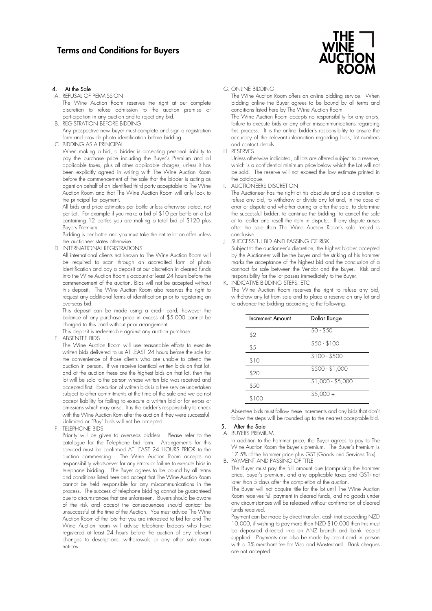

A. REFUSAL OF PERMISSION

The Wine Auction Room reserves the right at our complete discretion to refuse admission to the auction premise or participation in any auction and to reject any bid.

B. REGISTRATION BEFORE BIDDING

Any prospective new buyer must complete and sign a registration form and provide photo identification before bidding.

C. BIDDING AS A PRINCIPAL

When making a bid, a bidder is accepting personal liability to pay the purchase price including the Buyer's Premium and all applicable taxes, plus all other applicable charges, unless it has been explicitly agreed in writing with The Wine Auction Room before the commencement of the sale that the bidder is acting as agent on behalf of an identified third party acceptable to The Wine Auction Room and that The Wine Auction Room will only look to the principal for payment.

All bids and price estimates per bottle unless otherwise stated, not per Lot. For example if you make a bid of \$10 per bottle on a Lot containing 12 bottles you are making a total bid of \$120 plus Buyers Premium.

Bidding is per bottle and you must take the entire lot on offer unless the auctioneer states otherwise.

D. INTERNATIONAL REGISTRATIONS

All international clients not known to The Wine Auction Room will be required to scan through an accredited form of photo identification and pay a deposit at our discretion in cleared funds into the Wine Auction Room's account at least 24 hours before the commencement of the auction. Bids will not be accepted without this deposit. The Wine Auction Room also reserves the right to request any additional forms of identification prior to registering an overseas bid.

This deposit can be made using a credit card; however the balance of any purchase price in excess of \$5,000 cannot be charged to this card without prior arrangement.

This deposit is redeemable against any auction purchase.

E. ABSENTEE BIDS

The Wine Auction Room will use reasonable efforts to execute written bids delivered to us AT LEAST 24 hours before the sale for the convenience of those clients who are unable to attend the auction in person. If we receive identical written bids on that lot, and at the auction these are the highest bids on that lot, then the lot will be sold to the person whose written bid was received and accepted first. Execution of written bids is a free service undertaken subject to other commitments at the time of the sale and we do not accept liability for failing to execute a written bid or for errors or omissions which may arise. It is the bidder's responsibility to check with the Wine Auction Rom after the auction if they were successful. Unlimited or "Buy" bids will not be accepted.

F. TELEPHONE BIDS

Priority will be given to overseas bidders. Please refer to the catalogue for the Telephone bid form. Arrangements for this serviced must be confirmed AT LEAST 24 HOURS PRIOR to the auction commencing. The Wine Auction Room accepts no responsibility whatsoever for any errors or failure to execute bids in telephone bidding. The Buyer agrees to be bound by all terms and conditions listed here and accept that The Wine Auction Room cannot be held responsible for any miscommunications in the process. The success of telephone bidding cannot be guaranteed due to circumstances that are unforeseen. Buyers should be aware of the risk and accept the consequences should contact be unsuccessful at the time of the Auction. You must advice The Wine Auction Room of the lots that you are interested to bid for and The Wine Auction room will advise telephone bidders who have registered at least 24 hours before the auction of any relevant changes to descriptions, withdrawals or any other sale room notices.

G. ONLINE BIDDING

The Wine Auction Room offers an online bidding service. When bidding online the Buyer agrees to be bound by all terms and conditions listed here by The Wine Auction Room.

The Wine Auction Room accepts no responsibility for any errors, failure to execute bids or any other miscommunications regarding this process. It is the online bidder's responsibility to ensure the accuracy of the relevant information regarding bids, lot numbers and contact details.

## H. RESERVES

Unless otherwise indicated, all lots are offered subject to a reserve, which is a confidential minimum price below which the Lot will not be sold. The reserve will not exceed the low estimate printed in the catalogue.

AUCTIONEERS DISCRETION

The Auctioneer has the right at his absolute and sole discretion to refuse any bid, to withdraw or divide any lot and, in the case of error or dispute and whether during or after the sale, to determine the successful bidder, to continue the bidding, to cancel the sale or to reoffer and resell the item in dispute. If any dispute arises after the sale then The Wine Auction Room's sale record is conclusive.

J. SUCCESSFUL BID AND PASSING OF RISK

Subject to the auctioneer's discretion, the highest bidder accepted by the Auctioneer will be the buyer and the striking of his hammer marks the acceptance of the highest bid and the conclusion of a contract for sale between the Vendor and the Buyer. Risk and responsibility for the lot passes immediately to the Buyer.

K. INDICATIVE BIDDING STEPS, ETC

The Wine Auction Room reserves the right to refuse any bid, withdraw any lot from sale and to place a reserve on any lot and to advance the bidding according to the following.

| <b>Increment Amount</b> | Dollar Range      |
|-------------------------|-------------------|
| \$2                     | $$0 - $50$        |
| \$5                     | $$50 - $100$      |
| \$10                    | $$100 - $500$     |
| \$20                    | $$500 - $1,000$   |
| \$50                    | $$1,000 - $5,000$ |
| \$100                   | $$5,000 +$        |

Absentee bids must follow these increments and any bids that don't follow the steps will be rounded up to the nearest acceptable bid.

## 5. After the Sale

A. BUYERS PREMIUM

In addition to the hammer price, the Buyer agrees to pay to The Wine Auction Room the Buyer's premium. The Buyer's Premium is 17.5% of the hammer price plus GST (Goods and Services Tax). B. PAYMENT AND PASSING OF TITLE

The Buyer must pay the full amount due (comprising the hammer price, buyer's premium, and any applicable taxes and GST) not

later than 5 days after the completion of the auction. The Buyer will not acquire title for the lot until The Wine Auction Room receives full payment in cleared funds, and no goods under any circumstances will be released without confirmation of cleared funds received.

Payment can be made by direct transfer, cash (not exceeding NZD 10,000, if wishing to pay more than NZD \$10,000 then this must be deposited directed into an ANZ branch and bank receipt supplied. Payments can also be made by credit card in person with a 3% merchant fee for Visa and Mastercard. Bank cheques are not accepted.

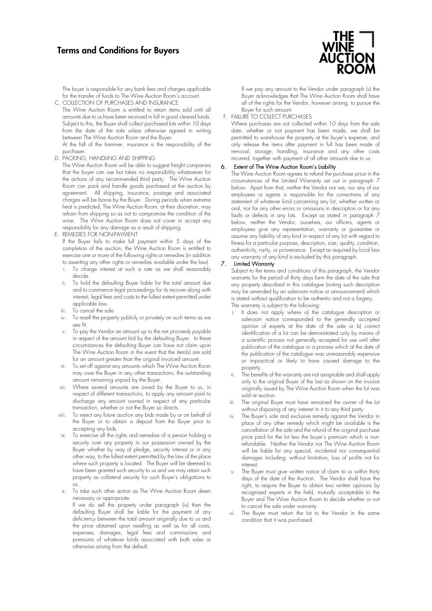# Terms and Conditions for Buyers

The buyer is responsible for any bank fees and charges applicable for the transfer of funds to The Wine Auction Room's account. C. COLLECTION OF PURCHASES AND INSURANCE

The Wine Auction Room is entitled to retain items sold until all amounts due to us have been received in full in good cleared funds. Subject to this, the Buyer shall collect purchased lots within 10 days from the date of the sale unless otherwise agreed in writing between The Wine Auction Room and the Buyer.

At the fall of the hammer, insurance is the responsibility of the purchaser.

D. PACKING, HANDLING AND SHIPPING

The Wine Auction Room will be able to suggest freight companies that the buyer can use but takes no responsibility whatsoever for the actions of any recommended third party. The Wine Auction Room can pack and handle goods purchased at the auction by agreement. All shipping, insurance, postage and associated charges will be borne by the Buyer. During periods when extreme heat is predicted, The Wine Auction Room, at their discretion, may refrain from shipping so as not to compromise the condition of the wine. The Wine Auction Room does not cover or accept any responsibility for any damage as a result of shipping.

E. REMEDIES FOR NON-PAYMENT

If the Buyer fails to make full payment within 5 days of the completion of the auction, the Wine Auction Room is entitled to exercise one or more of the following rights or remedies (in addition to asserting any other rights or remedies available under the law)

- To charge interest at such a rate as we shall reasonably decide.
- To hold the defaulting Buyer liable for the total amount due and to commence legal proceedings for its recover along with interest, legal fees and costs to the fullest extent permitted under applicable law.
- iii. To cancel the sale.
- iv. To resell the property publicly or privately on such terms as we see fit.
- To pay the Vendor an amount up to the net proceeds payable in respect of the amount bid by the defaulting Buyer. In these circumstances the defaulting Buyer can have not claim upon The Wine Auction Room in the event that the item(s) are sold for an amount greater than the original invoiced amount.
- vi. To set off against any amounts which The Wine Auction Room may owe the Buyer in any other transactions, the outstanding amount remaining unpaid by the Buyer.
- vii. Where several amounts are owed by the Buyer to us, in respect of different transactions, to apply any amount paid to discharge any amount owned in respect of any particular transaction, whether or not the Buyer so directs.
- viii. To reject any future auction any bids made by or on behalf of the Buyer or to obtain a deposit from the Buyer prior to accepting any bids.
- To exercise all the rights and remedies of a person holding a security over any property in our possession owned by the Buyer whether by way of pledge, security interest or in any other way, to the fullest extent permitted by the law of the place where such property is located. The Buyer will be deemed to have been granted such security to us and we may retain such property as collateral security for such Buyer's obligations to us.
- x. To take such other action as The Wine Auction Room deem necessary or appropriate.

If we do sell the property under paragraph (iv) then the defaulting Buyer shall be liable for the payment of any deficiency between the total amount originally due to us and the price obtained upon reselling as well as for all costs, expenses, damages, legal fees and commissions and premiums of whatever kinds associated with both sales or otherwise arising from the default.



If we pay any amount to the Vendor under paragraph (v) the Buyer acknowledges that The Wine Auction Room shall have all of the rights for the Vendor, however arising, to pursue the Buyer for such amount.

## F. FAILURE TO COLLECT PURCHASES

Where purchases are not collected within 10 days from the sale date, whether or not payment has been made, we shall be permitted to warehouse the property at the buyer's expense, and only release the items after payment in full has been made of removal, storage, handling, insurance and any other costs incurred, together with payment of all other amounts due to us.

## 6. Extent of The Wine Auction Room's Liability

The Wine Auction Room agrees to refund the purchase price in the circumstances of the Limited Warranty set out in paragraph 7 below. Apart from that, neither the Vendor nor we, nor any of our employees or agents is responsible for the correctness of any statement of whatever kind concerning any lot, whether written or oral, nor for any other errors or omissions in description or for any faults or defects in any lots. Except as stated in paragraph 7 below, neither the Vendor, ourselves, our officers, agents or employees give any representation, warranty or guarantee or assume any liability of any kind in respect of any lot with regard to fitness for a particular purpose, description, size, quality, condition, authenticity, rarity, or provenance. Except as required by local law any warranty of any kind is excluded by this paragraph.

## 7. Limited Warranty

Subject to the terms and conditions of this paragraph, the Vendor warrants for the period of thirty days form the date of the sale that any property described in this catalogue (noting such description may be amended by an saleroom notice or announcement) which is stated without qualification to be authentic and not a forgery. The warranty is subject to the following:

- i. It does not apply where a) the catalogue description or saleroom notice corresponded to the generally accepted opinion of experts at the date of the sale or b) correct identification of a lot can be demonstrated only by means of a scientific process not generally accepted for use until after publication of the catalogue or a process which at the date of the publication of the catalogue was unreasonably expensive or impractical or likely to have caused damage to the property.
- The benefits of the warranty are not assignable and shall apply only to the original Buyer of the last as shown on the invoice originally issued by The Wine Auction Room when the lot was sold at auction.
- The original Buyer must have remained the owner of the lot without disposing of any interest in it to any third party
- iv. The Buyer's sole and exclusive remedy against the Vendor in place of any other remedy which might be available is the cancellation of the sale and the refund of the original purchase price paid for the lot less the buyer's premium which is nonrefundable. Neither the Vendor nor The Wine Auction Room will be liable for any special, incidental nor consequential damages including, without limitation, loss of profits not for interest.
- The Buyer must give written notice of claim to us within thirty days of the date of the Auction. The Vendor shall have the right, to require the Buyer to obtain two written opinions by recognised experts in the field, mutually acceptable to the Buyer and The Wine Auction Room to decide whether or not to cancel the sale under warranty
- The Buyer must return the lot to the Vendor in the same condition that it was purchased.